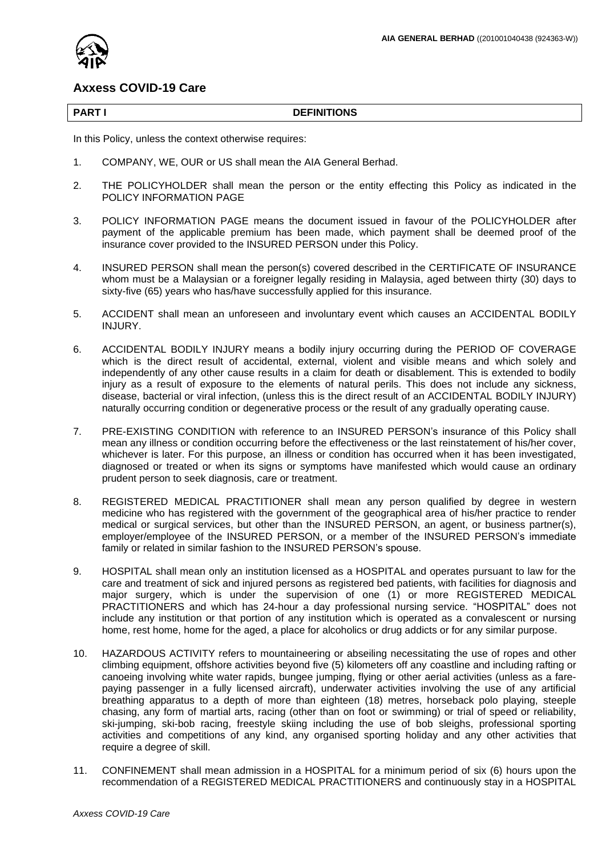

# **Axxess COVID-19 Care**

#### **PART I DEFINITIONS**

In this Policy, unless the context otherwise requires:

- 1. COMPANY, WE, OUR or US shall mean the AIA General Berhad.
- 2. THE POLICYHOLDER shall mean the person or the entity effecting this Policy as indicated in the POLICY INFORMATION PAGE
- 3. POLICY INFORMATION PAGE means the document issued in favour of the POLICYHOLDER after payment of the applicable premium has been made, which payment shall be deemed proof of the insurance cover provided to the INSURED PERSON under this Policy.
- 4. INSURED PERSON shall mean the person(s) covered described in the CERTIFICATE OF INSURANCE whom must be a Malaysian or a foreigner legally residing in Malaysia, aged between thirty (30) days to sixty-five (65) years who has/have successfully applied for this insurance.
- 5. ACCIDENT shall mean an unforeseen and involuntary event which causes an ACCIDENTAL BODILY INJURY.
- 6. ACCIDENTAL BODILY INJURY means a bodily injury occurring during the PERIOD OF COVERAGE which is the direct result of accidental, external, violent and visible means and which solely and independently of any other cause results in a claim for death or disablement. This is extended to bodily injury as a result of exposure to the elements of natural perils. This does not include any sickness, disease, bacterial or viral infection, (unless this is the direct result of an ACCIDENTAL BODILY INJURY) naturally occurring condition or degenerative process or the result of any gradually operating cause.
- 7. PRE-EXISTING CONDITION with reference to an INSURED PERSON's insurance of this Policy shall mean any illness or condition occurring before the effectiveness or the last reinstatement of his/her cover, whichever is later. For this purpose, an illness or condition has occurred when it has been investigated, diagnosed or treated or when its signs or symptoms have manifested which would cause an ordinary prudent person to seek diagnosis, care or treatment.
- 8. REGISTERED MEDICAL PRACTITIONER shall mean any person qualified by degree in western medicine who has registered with the government of the geographical area of his/her practice to render medical or surgical services, but other than the INSURED PERSON, an agent, or business partner(s), employer/employee of the INSURED PERSON, or a member of the INSURED PERSON's immediate family or related in similar fashion to the INSURED PERSON's spouse.
- 9. HOSPITAL shall mean only an institution licensed as a HOSPITAL and operates pursuant to law for the care and treatment of sick and injured persons as registered bed patients, with facilities for diagnosis and major surgery, which is under the supervision of one (1) or more REGISTERED MEDICAL PRACTITIONERS and which has 24-hour a day professional nursing service. "HOSPITAL" does not include any institution or that portion of any institution which is operated as a convalescent or nursing home, rest home, home for the aged, a place for alcoholics or drug addicts or for any similar purpose.
- 10. HAZARDOUS ACTIVITY refers to mountaineering or abseiling necessitating the use of ropes and other climbing equipment, offshore activities beyond five (5) kilometers off any coastline and including rafting or canoeing involving white water rapids, bungee jumping, flying or other aerial activities (unless as a farepaying passenger in a fully licensed aircraft), underwater activities involving the use of any artificial breathing apparatus to a depth of more than eighteen (18) metres, horseback polo playing, steeple chasing, any form of martial arts, racing (other than on foot or swimming) or trial of speed or reliability, ski-jumping, ski-bob racing, freestyle skiing including the use of bob sleighs, professional sporting activities and competitions of any kind, any organised sporting holiday and any other activities that require a degree of skill.
- 11. CONFINEMENT shall mean admission in a HOSPITAL for a minimum period of six (6) hours upon the recommendation of a REGISTERED MEDICAL PRACTITIONERS and continuously stay in a HOSPITAL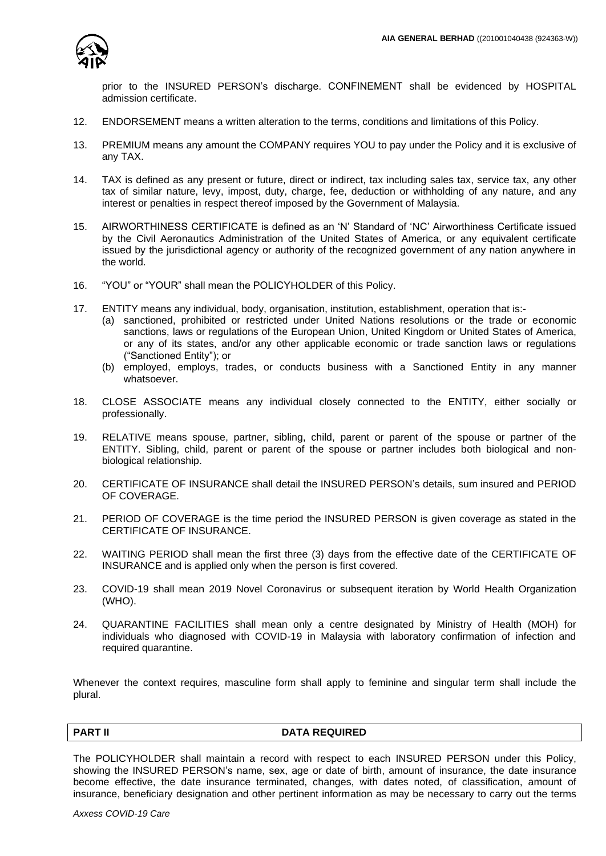

prior to the INSURED PERSON's discharge. CONFINEMENT shall be evidenced by HOSPITAL admission certificate.

- 12. ENDORSEMENT means a written alteration to the terms, conditions and limitations of this Policy.
- 13. PREMIUM means any amount the COMPANY requires YOU to pay under the Policy and it is exclusive of any TAX.
- 14. TAX is defined as any present or future, direct or indirect, tax including sales tax, service tax, any other tax of similar nature, levy, impost, duty, charge, fee, deduction or withholding of any nature, and any interest or penalties in respect thereof imposed by the Government of Malaysia.
- 15. AIRWORTHINESS CERTIFICATE is defined as an 'N' Standard of 'NC' Airworthiness Certificate issued by the Civil Aeronautics Administration of the United States of America, or any equivalent certificate issued by the jurisdictional agency or authority of the recognized government of any nation anywhere in the world.
- 16. "YOU" or "YOUR" shall mean the POLICYHOLDER of this Policy.
- 17. ENTITY means any individual, body, organisation, institution, establishment, operation that is:-
	- (a) sanctioned, prohibited or restricted under United Nations resolutions or the trade or economic sanctions, laws or regulations of the European Union, United Kingdom or United States of America, or any of its states, and/or any other applicable economic or trade sanction laws or regulations ("Sanctioned Entity"); or
	- (b) employed, employs, trades, or conducts business with a Sanctioned Entity in any manner whatsoever.
- 18. CLOSE ASSOCIATE means any individual closely connected to the ENTITY, either socially or professionally.
- 19. RELATIVE means spouse, partner, sibling, child, parent or parent of the spouse or partner of the ENTITY. Sibling, child, parent or parent of the spouse or partner includes both biological and nonbiological relationship.
- 20. CERTIFICATE OF INSURANCE shall detail the INSURED PERSON's details, sum insured and PERIOD OF COVERAGE.
- 21. PERIOD OF COVERAGE is the time period the INSURED PERSON is given coverage as stated in the CERTIFICATE OF INSURANCE.
- 22. WAITING PERIOD shall mean the first three (3) days from the effective date of the CERTIFICATE OF INSURANCE and is applied only when the person is first covered.
- 23. COVID-19 shall mean 2019 Novel Coronavirus or subsequent iteration by World Health Organization (WHO).
- 24. QUARANTINE FACILITIES shall mean only a centre designated by Ministry of Health (MOH) for individuals who diagnosed with COVID-19 in Malaysia with laboratory confirmation of infection and required quarantine.

Whenever the context requires, masculine form shall apply to feminine and singular term shall include the plural.

# **PART II** DATA REQUIRED

The POLICYHOLDER shall maintain a record with respect to each INSURED PERSON under this Policy, showing the INSURED PERSON's name, sex, age or date of birth, amount of insurance, the date insurance become effective, the date insurance terminated, changes, with dates noted, of classification, amount of insurance, beneficiary designation and other pertinent information as may be necessary to carry out the terms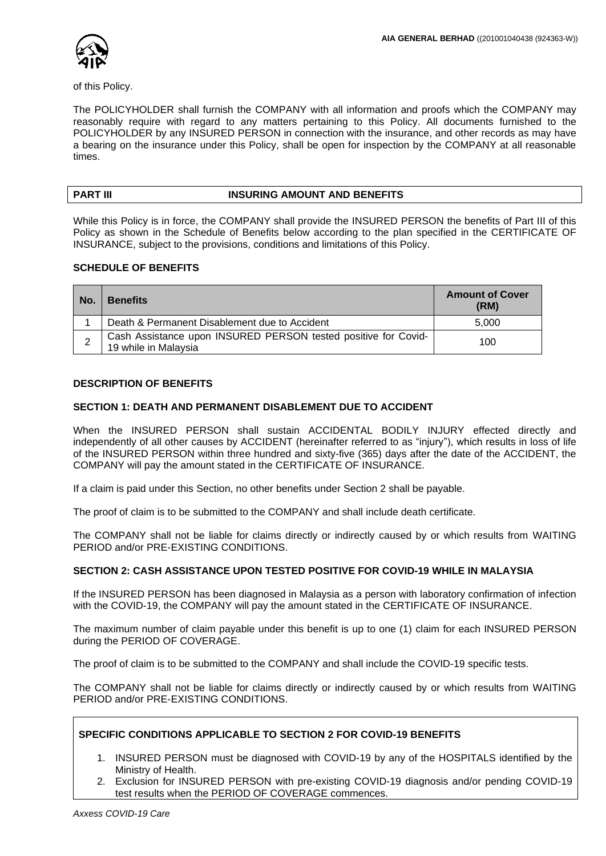

of this Policy.

The POLICYHOLDER shall furnish the COMPANY with all information and proofs which the COMPANY may reasonably require with regard to any matters pertaining to this Policy. All documents furnished to the POLICYHOLDER by any INSURED PERSON in connection with the insurance, and other records as may have a bearing on the insurance under this Policy, shall be open for inspection by the COMPANY at all reasonable times.

# **PART III INSURING AMOUNT AND BENEFITS**

While this Policy is in force, the COMPANY shall provide the INSURED PERSON the benefits of Part III of this Policy as shown in the Schedule of Benefits below according to the plan specified in the CERTIFICATE OF INSURANCE, subject to the provisions, conditions and limitations of this Policy.

# **SCHEDULE OF BENEFITS**

| No. | <b>Benefits</b>                                                                        | <b>Amount of Cover</b><br>(RM) |
|-----|----------------------------------------------------------------------------------------|--------------------------------|
|     | Death & Permanent Disablement due to Accident                                          | 5.000                          |
| ∠   | Cash Assistance upon INSURED PERSON tested positive for Covid-<br>19 while in Malaysia | 100                            |

### **DESCRIPTION OF BENEFITS**

# **SECTION 1: DEATH AND PERMANENT DISABLEMENT DUE TO ACCIDENT**

When the INSURED PERSON shall sustain ACCIDENTAL BODILY INJURY effected directly and independently of all other causes by ACCIDENT (hereinafter referred to as "injury"), which results in loss of life of the INSURED PERSON within three hundred and sixty-five (365) days after the date of the ACCIDENT, the COMPANY will pay the amount stated in the CERTIFICATE OF INSURANCE.

If a claim is paid under this Section, no other benefits under Section 2 shall be payable.

The proof of claim is to be submitted to the COMPANY and shall include death certificate.

The COMPANY shall not be liable for claims directly or indirectly caused by or which results from WAITING PERIOD and/or PRE-EXISTING CONDITIONS.

#### **SECTION 2: CASH ASSISTANCE UPON TESTED POSITIVE FOR COVID-19 WHILE IN MALAYSIA**

If the INSURED PERSON has been diagnosed in Malaysia as a person with laboratory confirmation of infection with the COVID-19, the COMPANY will pay the amount stated in the CERTIFICATE OF INSURANCE.

The maximum number of claim payable under this benefit is up to one (1) claim for each INSURED PERSON during the PERIOD OF COVERAGE.

The proof of claim is to be submitted to the COMPANY and shall include the COVID-19 specific tests.

The COMPANY shall not be liable for claims directly or indirectly caused by or which results from WAITING PERIOD and/or PRE-EXISTING CONDITIONS.

### **SPECIFIC CONDITIONS APPLICABLE TO SECTION 2 FOR COVID-19 BENEFITS**

- 1. INSURED PERSON must be diagnosed with COVID-19 by any of the HOSPITALS identified by the Ministry of Health.
- 2. Exclusion for INSURED PERSON with pre-existing COVID-19 diagnosis and/or pending COVID-19 test results when the PERIOD OF COVERAGE commences.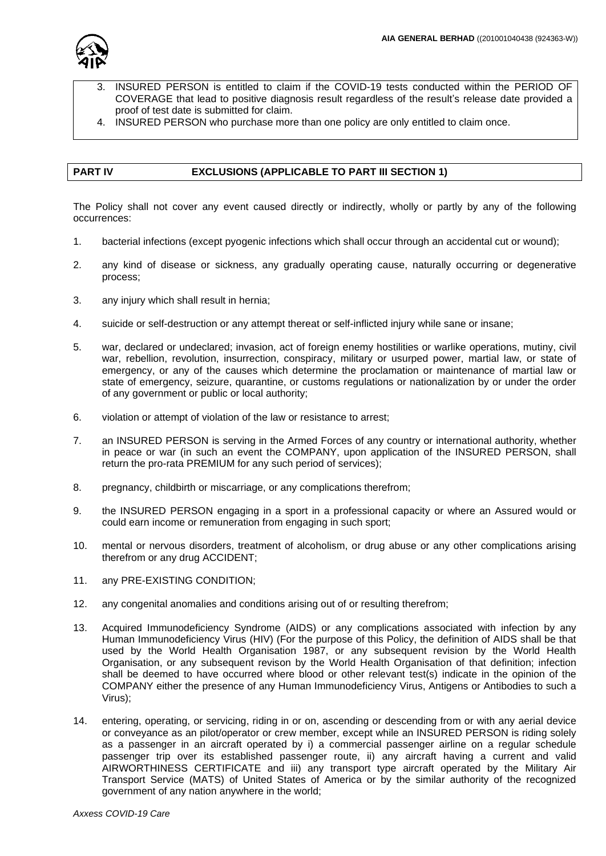

- 3. INSURED PERSON is entitled to claim if the COVID-19 tests conducted within the PERIOD OF COVERAGE that lead to positive diagnosis result regardless of the result's release date provided a proof of test date is submitted for claim.
- 4. INSURED PERSON who purchase more than one policy are only entitled to claim once.

# **PART IV EXCLUSIONS (APPLICABLE TO PART III SECTION 1)**

The Policy shall not cover any event caused directly or indirectly, wholly or partly by any of the following occurrences:

- 1. bacterial infections (except pyogenic infections which shall occur through an accidental cut or wound);
- 2. any kind of disease or sickness, any gradually operating cause, naturally occurring or degenerative process;
- 3. any injury which shall result in hernia;
- 4. suicide or self-destruction or any attempt thereat or self-inflicted injury while sane or insane;
- 5. war, declared or undeclared; invasion, act of foreign enemy hostilities or warlike operations, mutiny, civil war, rebellion, revolution, insurrection, conspiracy, military or usurped power, martial law, or state of emergency, or any of the causes which determine the proclamation or maintenance of martial law or state of emergency, seizure, quarantine, or customs regulations or nationalization by or under the order of any government or public or local authority;
- 6. violation or attempt of violation of the law or resistance to arrest;
- 7. an INSURED PERSON is serving in the Armed Forces of any country or international authority, whether in peace or war (in such an event the COMPANY, upon application of the INSURED PERSON, shall return the pro-rata PREMIUM for any such period of services);
- 8. pregnancy, childbirth or miscarriage, or any complications therefrom;
- 9. the INSURED PERSON engaging in a sport in a professional capacity or where an Assured would or could earn income or remuneration from engaging in such sport;
- 10. mental or nervous disorders, treatment of alcoholism, or drug abuse or any other complications arising therefrom or any drug ACCIDENT;
- 11. any PRE-EXISTING CONDITION;
- 12. any congenital anomalies and conditions arising out of or resulting therefrom;
- 13. Acquired Immunodeficiency Syndrome (AIDS) or any complications associated with infection by any Human Immunodeficiency Virus (HIV) (For the purpose of this Policy, the definition of AIDS shall be that used by the World Health Organisation 1987, or any subsequent revision by the World Health Organisation, or any subsequent revison by the World Health Organisation of that definition; infection shall be deemed to have occurred where blood or other relevant test(s) indicate in the opinion of the COMPANY either the presence of any Human Immunodeficiency Virus, Antigens or Antibodies to such a Virus);
- 14. entering, operating, or servicing, riding in or on, ascending or descending from or with any aerial device or conveyance as an pilot/operator or crew member, except while an INSURED PERSON is riding solely as a passenger in an aircraft operated by i) a commercial passenger airline on a regular schedule passenger trip over its established passenger route, ii) any aircraft having a current and valid AIRWORTHINESS CERTIFICATE and iii) any transport type aircraft operated by the Military Air Transport Service (MATS) of United States of America or by the similar authority of the recognized government of any nation anywhere in the world;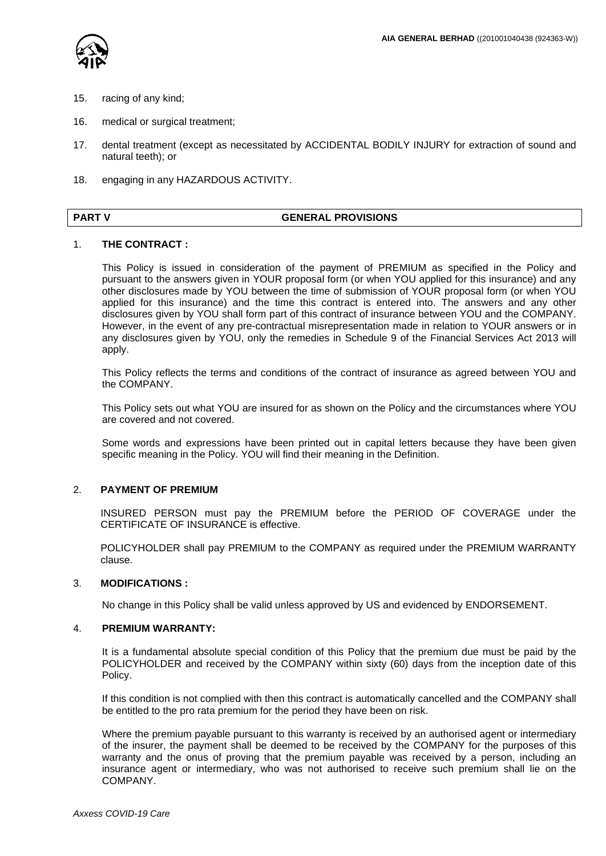

- 15. racing of any kind;
- 16. medical or surgical treatment;
- 17. dental treatment (except as necessitated by ACCIDENTAL BODILY INJURY for extraction of sound and natural teeth); or
- 18. engaging in any HAZARDOUS ACTIVITY.

#### **PART V** GENERAL PROVISIONS

#### 1. **THE CONTRACT :**

This Policy is issued in consideration of the payment of PREMIUM as specified in the Policy and pursuant to the answers given in YOUR proposal form (or when YOU applied for this insurance) and any other disclosures made by YOU between the time of submission of YOUR proposal form (or when YOU applied for this insurance) and the time this contract is entered into. The answers and any other disclosures given by YOU shall form part of this contract of insurance between YOU and the COMPANY. However, in the event of any pre-contractual misrepresentation made in relation to YOUR answers or in any disclosures given by YOU, only the remedies in Schedule 9 of the Financial Services Act 2013 will apply.

This Policy reflects the terms and conditions of the contract of insurance as agreed between YOU and the COMPANY.

This Policy sets out what YOU are insured for as shown on the Policy and the circumstances where YOU are covered and not covered.

Some words and expressions have been printed out in capital letters because they have been given specific meaning in the Policy. YOU will find their meaning in the Definition.

#### 2. **PAYMENT OF PREMIUM**

 INSURED PERSON must pay the PREMIUM before the PERIOD OF COVERAGE under the CERTIFICATE OF INSURANCE is effective.

POLICYHOLDER shall pay PREMIUM to the COMPANY as required under the PREMIUM WARRANTY clause.

### 3. **MODIFICATIONS :**

No change in this Policy shall be valid unless approved by US and evidenced by ENDORSEMENT.

#### 4. **PREMIUM WARRANTY:**

It is a fundamental absolute special condition of this Policy that the premium due must be paid by the POLICYHOLDER and received by the COMPANY within sixty (60) days from the inception date of this Policy.

If this condition is not complied with then this contract is automatically cancelled and the COMPANY shall be entitled to the pro rata premium for the period they have been on risk.

Where the premium payable pursuant to this warranty is received by an authorised agent or intermediary of the insurer, the payment shall be deemed to be received by the COMPANY for the purposes of this warranty and the onus of proving that the premium payable was received by a person, including an insurance agent or intermediary, who was not authorised to receive such premium shall lie on the COMPANY.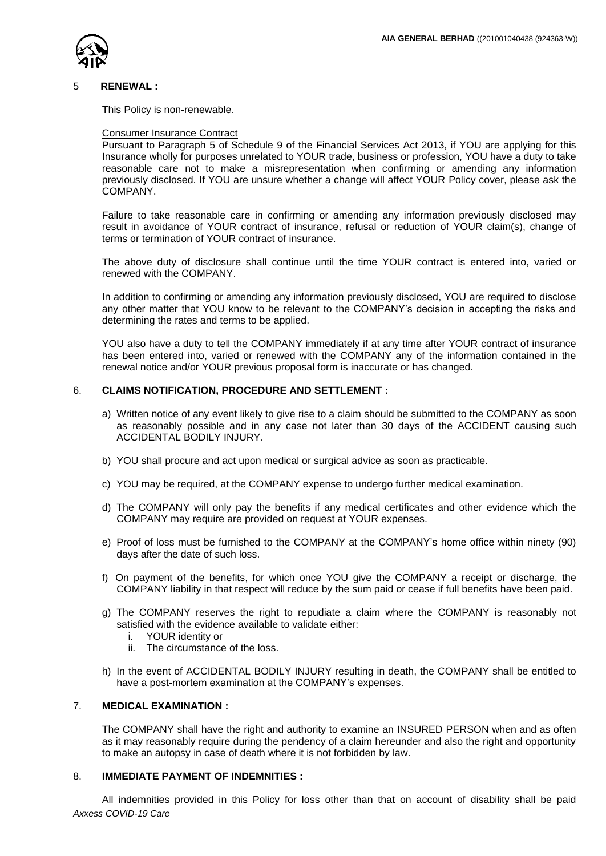

#### 5 **RENEWAL :**

This Policy is non-renewable.

#### Consumer Insurance Contract

Pursuant to Paragraph 5 of Schedule 9 of the Financial Services Act 2013, if YOU are applying for this Insurance wholly for purposes unrelated to YOUR trade, business or profession, YOU have a duty to take reasonable care not to make a misrepresentation when confirming or amending any information previously disclosed. If YOU are unsure whether a change will affect YOUR Policy cover, please ask the COMPANY.

Failure to take reasonable care in confirming or amending any information previously disclosed may result in avoidance of YOUR contract of insurance, refusal or reduction of YOUR claim(s), change of terms or termination of YOUR contract of insurance.

The above duty of disclosure shall continue until the time YOUR contract is entered into, varied or renewed with the COMPANY.

In addition to confirming or amending any information previously disclosed, YOU are required to disclose any other matter that YOU know to be relevant to the COMPANY's decision in accepting the risks and determining the rates and terms to be applied.

YOU also have a duty to tell the COMPANY immediately if at any time after YOUR contract of insurance has been entered into, varied or renewed with the COMPANY any of the information contained in the renewal notice and/or YOUR previous proposal form is inaccurate or has changed.

#### 6. **CLAIMS NOTIFICATION, PROCEDURE AND SETTLEMENT :**

- a) Written notice of any event likely to give rise to a claim should be submitted to the COMPANY as soon as reasonably possible and in any case not later than 30 days of the ACCIDENT causing such ACCIDENTAL BODILY INJURY.
- b) YOU shall procure and act upon medical or surgical advice as soon as practicable.
- c) YOU may be required, at the COMPANY expense to undergo further medical examination.
- d) The COMPANY will only pay the benefits if any medical certificates and other evidence which the COMPANY may require are provided on request at YOUR expenses.
- e) Proof of loss must be furnished to the COMPANY at the COMPANY's home office within ninety (90) days after the date of such loss.
- f) On payment of the benefits, for which once YOU give the COMPANY a receipt or discharge, the COMPANY liability in that respect will reduce by the sum paid or cease if full benefits have been paid.
- g) The COMPANY reserves the right to repudiate a claim where the COMPANY is reasonably not satisfied with the evidence available to validate either:
	- i. YOUR identity or
	- ii. The circumstance of the loss.
- h) In the event of ACCIDENTAL BODILY INJURY resulting in death, the COMPANY shall be entitled to have a post-mortem examination at the COMPANY's expenses.

# 7. **MEDICAL EXAMINATION :**

The COMPANY shall have the right and authority to examine an INSURED PERSON when and as often as it may reasonably require during the pendency of a claim hereunder and also the right and opportunity to make an autopsy in case of death where it is not forbidden by law.

#### 8. **IMMEDIATE PAYMENT OF INDEMNITIES :**

*Axxess COVID-19 Care* All indemnities provided in this Policy for loss other than that on account of disability shall be paid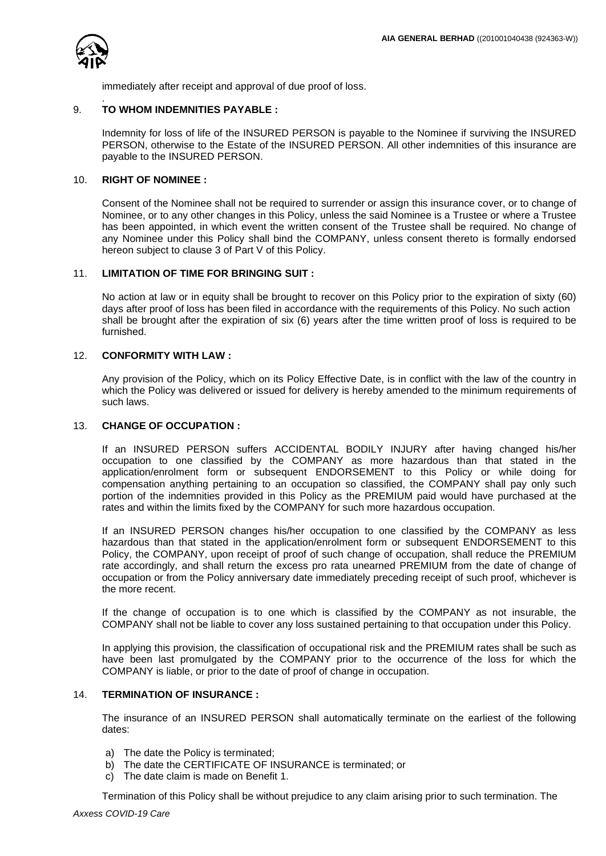

.

immediately after receipt and approval of due proof of loss.

# 9. **TO WHOM INDEMNITIES PAYABLE :**

Indemnity for loss of life of the INSURED PERSON is payable to the Nominee if surviving the INSURED PERSON, otherwise to the Estate of the INSURED PERSON. All other indemnities of this insurance are payable to the INSURED PERSON.

### 10. **RIGHT OF NOMINEE :**

Consent of the Nominee shall not be required to surrender or assign this insurance cover, or to change of Nominee, or to any other changes in this Policy, unless the said Nominee is a Trustee or where a Trustee has been appointed, in which event the written consent of the Trustee shall be required. No change of any Nominee under this Policy shall bind the COMPANY, unless consent thereto is formally endorsed hereon subject to clause 3 of Part V of this Policy.

# 11. **LIMITATION OF TIME FOR BRINGING SUIT :**

No action at law or in equity shall be brought to recover on this Policy prior to the expiration of sixty (60) days after proof of loss has been filed in accordance with the requirements of this Policy. No such action shall be brought after the expiration of six (6) years after the time written proof of loss is required to be furnished.

# 12. **CONFORMITY WITH LAW :**

Any provision of the Policy, which on its Policy Effective Date, is in conflict with the law of the country in which the Policy was delivered or issued for delivery is hereby amended to the minimum requirements of such laws.

#### 13. **CHANGE OF OCCUPATION :**

If an INSURED PERSON suffers ACCIDENTAL BODILY INJURY after having changed his/her occupation to one classified by the COMPANY as more hazardous than that stated in the application/enrolment form or subsequent ENDORSEMENT to this Policy or while doing for compensation anything pertaining to an occupation so classified, the COMPANY shall pay only such portion of the indemnities provided in this Policy as the PREMIUM paid would have purchased at the rates and within the limits fixed by the COMPANY for such more hazardous occupation.

If an INSURED PERSON changes his/her occupation to one classified by the COMPANY as less hazardous than that stated in the application/enrolment form or subsequent ENDORSEMENT to this Policy, the COMPANY, upon receipt of proof of such change of occupation, shall reduce the PREMIUM rate accordingly, and shall return the excess pro rata unearned PREMIUM from the date of change of occupation or from the Policy anniversary date immediately preceding receipt of such proof, whichever is the more recent.

If the change of occupation is to one which is classified by the COMPANY as not insurable, the COMPANY shall not be liable to cover any loss sustained pertaining to that occupation under this Policy.

In applying this provision, the classification of occupational risk and the PREMIUM rates shall be such as have been last promulgated by the COMPANY prior to the occurrence of the loss for which the COMPANY is liable, or prior to the date of proof of change in occupation.

# 14. **TERMINATION OF INSURANCE :**

The insurance of an INSURED PERSON shall automatically terminate on the earliest of the following dates:

- a) The date the Policy is terminated;
- b) The date the CERTIFICATE OF INSURANCE is terminated; or
- c) The date claim is made on Benefit 1.

Termination of this Policy shall be without prejudice to any claim arising prior to such termination. The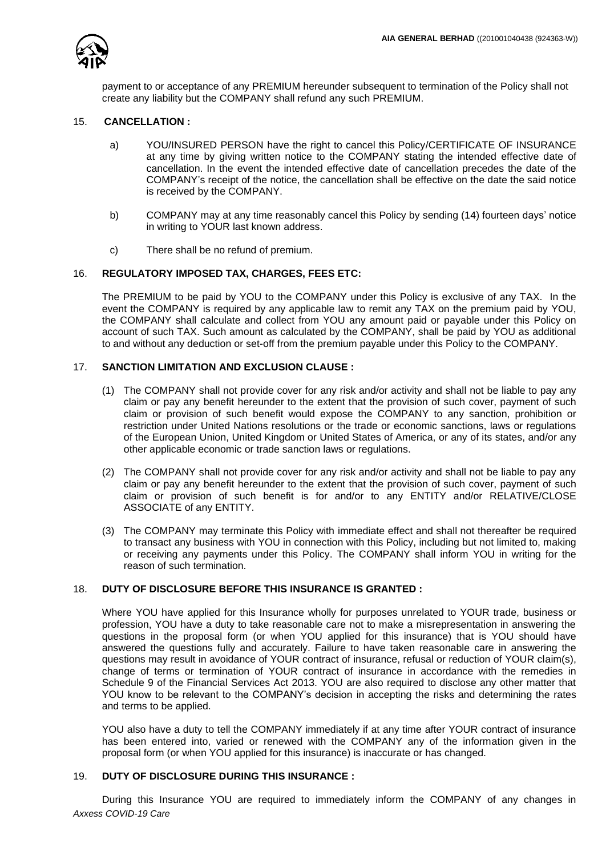

payment to or acceptance of any PREMIUM hereunder subsequent to termination of the Policy shall not create any liability but the COMPANY shall refund any such PREMIUM.

### 15. **CANCELLATION :**

- a) YOU/INSURED PERSON have the right to cancel this Policy/CERTIFICATE OF INSURANCE at any time by giving written notice to the COMPANY stating the intended effective date of cancellation. In the event the intended effective date of cancellation precedes the date of the COMPANY's receipt of the notice, the cancellation shall be effective on the date the said notice is received by the COMPANY.
- b) COMPANY may at any time reasonably cancel this Policy by sending (14) fourteen days' notice in writing to YOUR last known address.
- c) There shall be no refund of premium.

# 16. **REGULATORY IMPOSED TAX, CHARGES, FEES ETC:**

The PREMIUM to be paid by YOU to the COMPANY under this Policy is exclusive of any TAX. In the event the COMPANY is required by any applicable law to remit any TAX on the premium paid by YOU, the COMPANY shall calculate and collect from YOU any amount paid or payable under this Policy on account of such TAX. Such amount as calculated by the COMPANY, shall be paid by YOU as additional to and without any deduction or set-off from the premium payable under this Policy to the COMPANY.

# 17. **SANCTION LIMITATION AND EXCLUSION CLAUSE :**

- (1) The COMPANY shall not provide cover for any risk and/or activity and shall not be liable to pay any claim or pay any benefit hereunder to the extent that the provision of such cover, payment of such claim or provision of such benefit would expose the COMPANY to any sanction, prohibition or restriction under United Nations resolutions or the trade or economic sanctions, laws or regulations of the European Union, United Kingdom or United States of America, or any of its states, and/or any other applicable economic or trade sanction laws or regulations.
- (2) The COMPANY shall not provide cover for any risk and/or activity and shall not be liable to pay any claim or pay any benefit hereunder to the extent that the provision of such cover, payment of such claim or provision of such benefit is for and/or to any ENTITY and/or RELATIVE/CLOSE ASSOCIATE of any ENTITY.
- (3) The COMPANY may terminate this Policy with immediate effect and shall not thereafter be required to transact any business with YOU in connection with this Policy, including but not limited to, making or receiving any payments under this Policy. The COMPANY shall inform YOU in writing for the reason of such termination.

# 18. **DUTY OF DISCLOSURE BEFORE THIS INSURANCE IS GRANTED :**

Where YOU have applied for this Insurance wholly for purposes unrelated to YOUR trade, business or profession, YOU have a duty to take reasonable care not to make a misrepresentation in answering the questions in the proposal form (or when YOU applied for this insurance) that is YOU should have answered the questions fully and accurately. Failure to have taken reasonable care in answering the questions may result in avoidance of YOUR contract of insurance, refusal or reduction of YOUR claim(s), change of terms or termination of YOUR contract of insurance in accordance with the remedies in Schedule 9 of the Financial Services Act 2013. YOU are also required to disclose any other matter that YOU know to be relevant to the COMPANY's decision in accepting the risks and determining the rates and terms to be applied.

YOU also have a duty to tell the COMPANY immediately if at any time after YOUR contract of insurance has been entered into, varied or renewed with the COMPANY any of the information given in the proposal form (or when YOU applied for this insurance) is inaccurate or has changed.

# 19. **DUTY OF DISCLOSURE DURING THIS INSURANCE :**

*Axxess COVID-19 Care* During this Insurance YOU are required to immediately inform the COMPANY of any changes in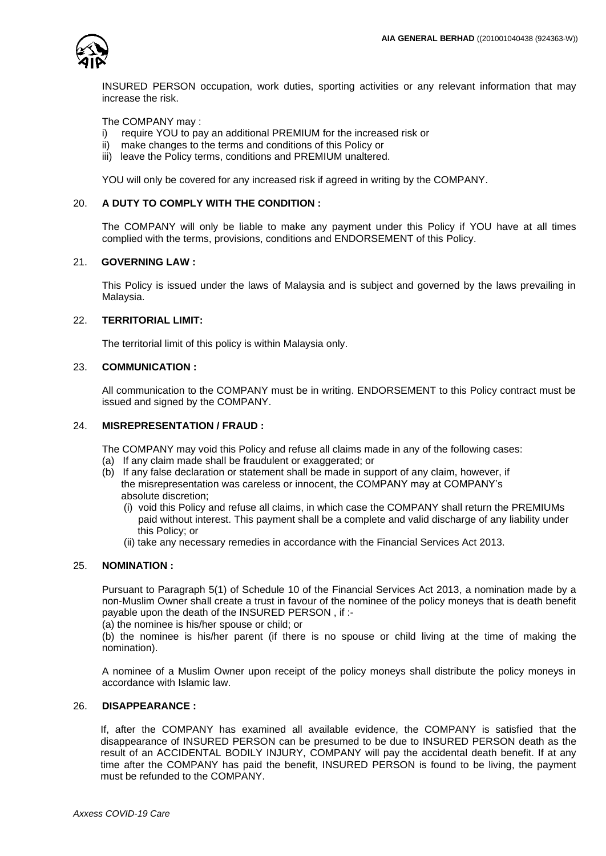

INSURED PERSON occupation, work duties, sporting activities or any relevant information that may increase the risk.

The COMPANY may :

- i) require YOU to pay an additional PREMIUM for the increased risk or
- ii) make changes to the terms and conditions of this Policy or
- iii) leave the Policy terms, conditions and PREMIUM unaltered.

YOU will only be covered for any increased risk if agreed in writing by the COMPANY.

# 20. **A DUTY TO COMPLY WITH THE CONDITION :**

The COMPANY will only be liable to make any payment under this Policy if YOU have at all times complied with the terms, provisions, conditions and ENDORSEMENT of this Policy.

### 21. **GOVERNING LAW :**

This Policy is issued under the laws of Malaysia and is subject and governed by the laws prevailing in Malaysia.

# 22. **TERRITORIAL LIMIT:**

The territorial limit of this policy is within Malaysia only.

#### 23. **COMMUNICATION :**

All communication to the COMPANY must be in writing. ENDORSEMENT to this Policy contract must be issued and signed by the COMPANY.

### 24. **MISREPRESENTATION / FRAUD :**

The COMPANY may void this Policy and refuse all claims made in any of the following cases:

- (a) If any claim made shall be fraudulent or exaggerated; or
- (b) If any false declaration or statement shall be made in support of any claim, however, if the misrepresentation was careless or innocent, the COMPANY may at COMPANY's absolute discretion;
	- (i) void this Policy and refuse all claims, in which case the COMPANY shall return the PREMIUMs paid without interest. This payment shall be a complete and valid discharge of any liability under this Policy; or
	- (ii) take any necessary remedies in accordance with the Financial Services Act 2013.

#### 25. **NOMINATION :**

Pursuant to Paragraph 5(1) of Schedule 10 of the Financial Services Act 2013, a nomination made by a non-Muslim Owner shall create a trust in favour of the nominee of the policy moneys that is death benefit payable upon the death of the INSURED PERSON , if :-

(a) the nominee is his/her spouse or child; or

(b) the nominee is his/her parent (if there is no spouse or child living at the time of making the nomination).

A nominee of a Muslim Owner upon receipt of the policy moneys shall distribute the policy moneys in accordance with Islamic law.

# 26. **DISAPPEARANCE :**

If, after the COMPANY has examined all available evidence, the COMPANY is satisfied that the disappearance of INSURED PERSON can be presumed to be due to INSURED PERSON death as the result of an ACCIDENTAL BODILY INJURY, COMPANY will pay the accidental death benefit. If at any time after the COMPANY has paid the benefit, INSURED PERSON is found to be living, the payment must be refunded to the COMPANY.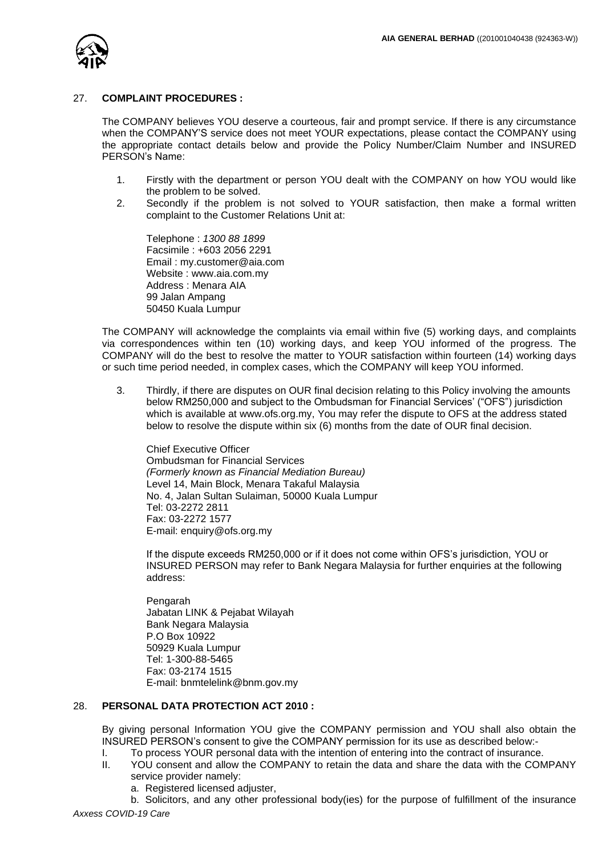

#### 27. **COMPLAINT PROCEDURES :**

The COMPANY believes YOU deserve a courteous, fair and prompt service. If there is any circumstance when the COMPANY'S service does not meet YOUR expectations, please contact the COMPANY using the appropriate contact details below and provide the Policy Number/Claim Number and INSURED PERSON's Name:

- 1. Firstly with the department or person YOU dealt with the COMPANY on how YOU would like the problem to be solved.
- 2. Secondly if the problem is not solved to YOUR satisfaction, then make a formal written complaint to the Customer Relations Unit at:

Telephone : *1300 88 1899*  Facsimile : +603 2056 2291 Email : my.customer@aia.com Website : www.aia.com.my Address : Menara AIA 99 Jalan Ampang 50450 Kuala Lumpur

The COMPANY will acknowledge the complaints via email within five (5) working days, and complaints via correspondences within ten (10) working days, and keep YOU informed of the progress. The COMPANY will do the best to resolve the matter to YOUR satisfaction within fourteen (14) working days or such time period needed, in complex cases, which the COMPANY will keep YOU informed.

3. Thirdly, if there are disputes on OUR final decision relating to this Policy involving the amounts below RM250,000 and subject to the Ombudsman for Financial Services' ("OFS") jurisdiction which is available at www.ofs.org.my, You may refer the dispute to OFS at the address stated below to resolve the dispute within six (6) months from the date of OUR final decision.

Chief Executive Officer Ombudsman for Financial Services *(Formerly known as Financial Mediation Bureau)* Level 14, Main Block, Menara Takaful Malaysia No. 4, Jalan Sultan Sulaiman, 50000 Kuala Lumpur Tel: 03-2272 2811 Fax: 03-2272 1577 E-mail: enquiry@ofs.org.my

If the dispute exceeds RM250,000 or if it does not come within OFS's jurisdiction, YOU or INSURED PERSON may refer to Bank Negara Malaysia for further enquiries at the following address:

Pengarah Jabatan LINK & Pejabat Wilayah Bank Negara Malaysia P.O Box 10922 50929 Kuala Lumpur Tel: 1-300-88-5465 Fax: 03-2174 1515 E-mail: bnmtelelink@bnm.gov.my

# 28. **PERSONAL DATA PROTECTION ACT 2010 :**

 By giving personal Information YOU give the COMPANY permission and YOU shall also obtain the INSURED PERSON's consent to give the COMPANY permission for its use as described below:-

- I. To process YOUR personal data with the intention of entering into the contract of insurance.
- II. YOU consent and allow the COMPANY to retain the data and share the data with the COMPANY service provider namely:
	- a. Registered licensed adjuster,

*Axxess COVID-19 Care* b. Solicitors, and any other professional body(ies) for the purpose of fulfillment of the insurance